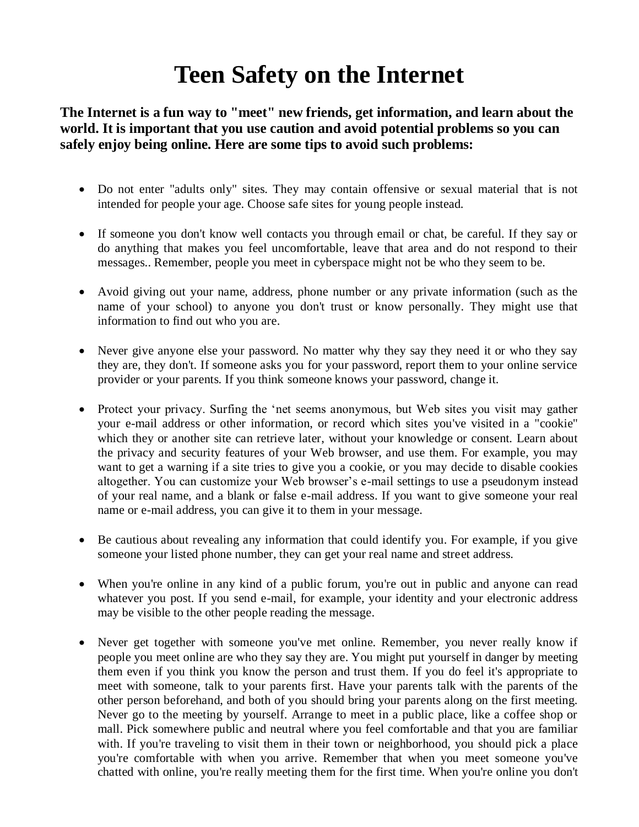## **Teen Safety on the Internet**

**The Internet is a fun way to "meet" new friends, get information, and learn about the world. It is important that you use caution and avoid potential problems so you can safely enjoy being online. Here are some tips to avoid such problems:**

- Do not enter "adults only" sites. They may contain offensive or sexual material that is not intended for people your age. Choose safe sites for young people instead.
- If someone you don't know well contacts you through email or chat, be careful. If they say or do anything that makes you feel uncomfortable, leave that area and do not respond to their messages.. Remember, people you meet in cyberspace might not be who they seem to be.
- Avoid giving out your name, address, phone number or any private information (such as the name of your school) to anyone you don't trust or know personally. They might use that information to find out who you are.
- Never give anyone else your password. No matter why they say they need it or who they say they are, they don't. If someone asks you for your password, report them to your online service provider or your parents. If you think someone knows your password, change it.
- Protect your privacy. Surfing the 'net seems anonymous, but Web sites you visit may gather your e-mail address or other information, or record which sites you've visited in a "cookie" which they or another site can retrieve later, without your knowledge or consent. Learn about the privacy and security features of your Web browser, and use them. For example, you may want to get a warning if a site tries to give you a cookie, or you may decide to disable cookies altogether. You can customize your Web browser's e-mail settings to use a pseudonym instead of your real name, and a blank or false e-mail address. If you want to give someone your real name or e-mail address, you can give it to them in your message.
- Be cautious about revealing any information that could identify you. For example, if you give someone your listed phone number, they can get your real name and street address.
- When you're online in any kind of a public forum, you're out in public and anyone can read whatever you post. If you send e-mail, for example, your identity and your electronic address may be visible to the other people reading the message.
- Never get together with someone you've met online. Remember, you never really know if people you meet online are who they say they are. You might put yourself in danger by meeting them even if you think you know the person and trust them. If you do feel it's appropriate to meet with someone, talk to your parents first. Have your parents talk with the parents of the other person beforehand, and both of you should bring your parents along on the first meeting. Never go to the meeting by yourself. Arrange to meet in a public place, like a coffee shop or mall. Pick somewhere public and neutral where you feel comfortable and that you are familiar with. If you're traveling to visit them in their town or neighborhood, you should pick a place you're comfortable with when you arrive. Remember that when you meet someone you've chatted with online, you're really meeting them for the first time. When you're online you don't